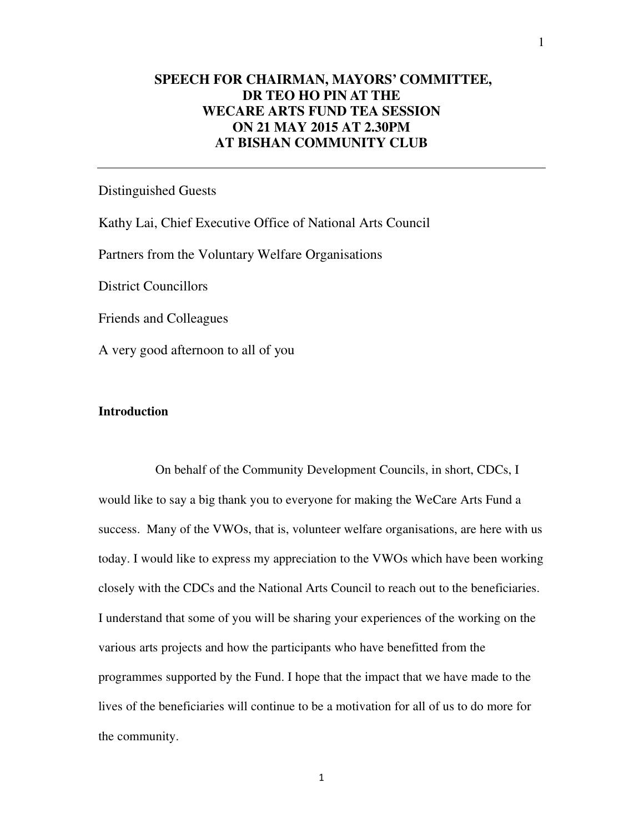## **SPEECH FOR CHAIRMAN, MAYORS' COMMITTEE, DR TEO HO PIN AT THE WECARE ARTS FUND TEA SESSION ON 21 MAY 2015 AT 2.30PM AT BISHAN COMMUNITY CLUB**

## Distinguished Guests

Kathy Lai, Chief Executive Office of National Arts Council

Partners from the Voluntary Welfare Organisations

District Councillors

Friends and Colleagues

A very good afternoon to all of you

## **Introduction**

 On behalf of the Community Development Councils, in short, CDCs, I would like to say a big thank you to everyone for making the WeCare Arts Fund a success. Many of the VWOs, that is, volunteer welfare organisations, are here with us today. I would like to express my appreciation to the VWOs which have been working closely with the CDCs and the National Arts Council to reach out to the beneficiaries. I understand that some of you will be sharing your experiences of the working on the various arts projects and how the participants who have benefitted from the programmes supported by the Fund. I hope that the impact that we have made to the lives of the beneficiaries will continue to be a motivation for all of us to do more for the community.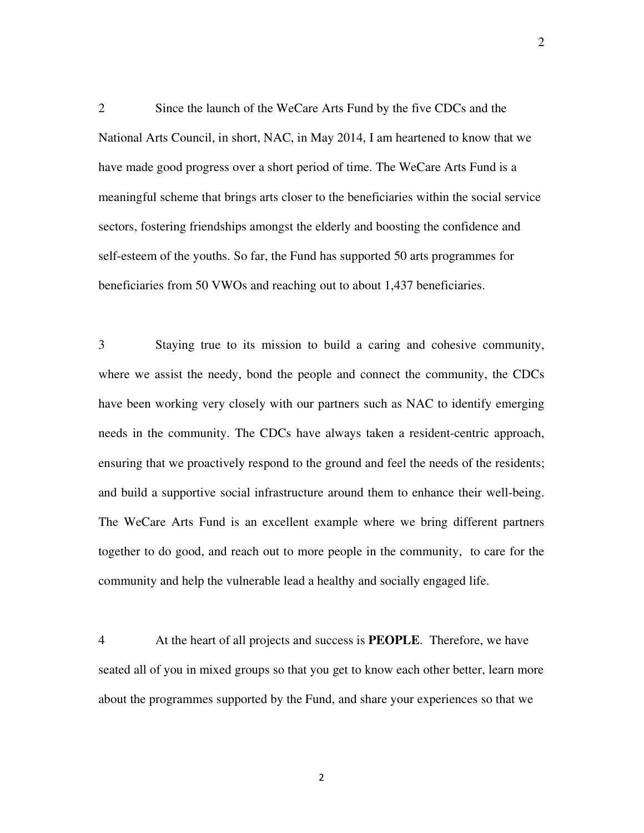2 Since the launch of the WeCare Arts Fund by the five CDCs and the National Arts Council, in short, NAC, in May 2014, I am heartened to know that we have made good progress over a short period of time. The WeCare Arts Fund is a meaningful scheme that brings arts closer to the beneficiaries within the social service sectors, fostering friendships amongst the elderly and boosting the confidence and self-esteem of the youths. So far, the Fund has supported 50 arts programmes for beneficiaries from 50 VWOs and reaching out to about 1,437 beneficiaries.

3 Staying true to its mission to build a caring and cohesive community, where we assist the needy, bond the people and connect the community, the CDCs have been working very closely with our partners such as NAC to identify emerging needs in the community. The CDCs have always taken a resident-centric approach, ensuring that we proactively respond to the ground and feel the needs of the residents; and build a supportive social infrastructure around them to enhance their well-being. The WeCare Arts Fund is an excellent example where we bring different partners together to do good, and reach out to more people in the community, to care for the community and help the vulnerable lead a healthy and socially engaged life.

4 At the heart of all projects and success is **PEOPLE**. Therefore, we have seated all of you in mixed groups so that you get to know each other better, learn more about the programmes supported by the Fund, and share your experiences so that we

2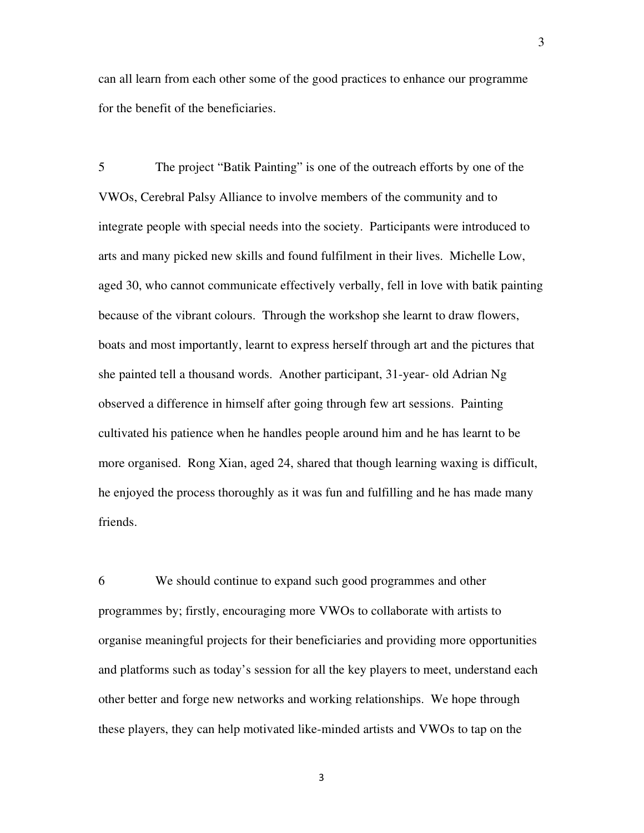can all learn from each other some of the good practices to enhance our programme for the benefit of the beneficiaries.

5 The project "Batik Painting" is one of the outreach efforts by one of the VWOs, Cerebral Palsy Alliance to involve members of the community and to integrate people with special needs into the society. Participants were introduced to arts and many picked new skills and found fulfilment in their lives. Michelle Low, aged 30, who cannot communicate effectively verbally, fell in love with batik painting because of the vibrant colours. Through the workshop she learnt to draw flowers, boats and most importantly, learnt to express herself through art and the pictures that she painted tell a thousand words. Another participant, 31-year- old Adrian Ng observed a difference in himself after going through few art sessions. Painting cultivated his patience when he handles people around him and he has learnt to be more organised. Rong Xian, aged 24, shared that though learning waxing is difficult, he enjoyed the process thoroughly as it was fun and fulfilling and he has made many friends.

6 We should continue to expand such good programmes and other programmes by; firstly, encouraging more VWOs to collaborate with artists to organise meaningful projects for their beneficiaries and providing more opportunities and platforms such as today's session for all the key players to meet, understand each other better and forge new networks and working relationships. We hope through these players, they can help motivated like-minded artists and VWOs to tap on the

3